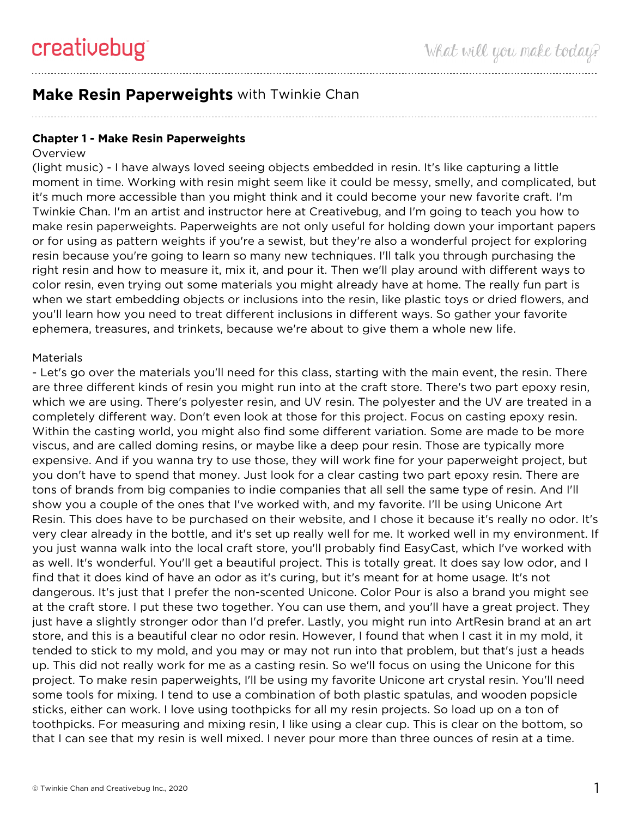# **Make Resin Paperweights** with Twinkie Chan

#### **Chapter 1 - Make Resin Paperweights**

#### **Overview**

(light music) - I have always loved seeing objects embedded in resin. It's like capturing a little moment in time. Working with resin might seem like it could be messy, smelly, and complicated, but it's much more accessible than you might think and it could become your new favorite craft. I'm Twinkie Chan. I'm an artist and instructor here at Creativebug, and I'm going to teach you how to make resin paperweights. Paperweights are not only useful for holding down your important papers or for using as pattern weights if you're a sewist, but they're also a wonderful project for exploring resin because you're going to learn so many new techniques. I'll talk you through purchasing the right resin and how to measure it, mix it, and pour it. Then we'll play around with different ways to color resin, even trying out some materials you might already have at home. The really fun part is when we start embedding objects or inclusions into the resin, like plastic toys or dried flowers, and you'll learn how you need to treat different inclusions in different ways. So gather your favorite ephemera, treasures, and trinkets, because we're about to give them a whole new life.

#### **Materials**

- Let's go over the materials you'll need for this class, starting with the main event, the resin. There are three different kinds of resin you might run into at the craft store. There's two part epoxy resin, which we are using. There's polyester resin, and UV resin. The polyester and the UV are treated in a completely different way. Don't even look at those for this project. Focus on casting epoxy resin. Within the casting world, you might also find some different variation. Some are made to be more viscus, and are called doming resins, or maybe like a deep pour resin. Those are typically more expensive. And if you wanna try to use those, they will work fine for your paperweight project, but you don't have to spend that money. Just look for a clear casting two part epoxy resin. There are tons of brands from big companies to indie companies that all sell the same type of resin. And I'll show you a couple of the ones that I've worked with, and my favorite. I'll be using Unicone Art Resin. This does have to be purchased on their website, and I chose it because it's really no odor. It's very clear already in the bottle, and it's set up really well for me. It worked well in my environment. If you just wanna walk into the local craft store, you'll probably find EasyCast, which I've worked with as well. It's wonderful. You'll get a beautiful project. This is totally great. It does say low odor, and I find that it does kind of have an odor as it's curing, but it's meant for at home usage. It's not dangerous. It's just that I prefer the non-scented Unicone. Color Pour is also a brand you might see at the craft store. I put these two together. You can use them, and you'll have a great project. They just have a slightly stronger odor than I'd prefer. Lastly, you might run into ArtResin brand at an art store, and this is a beautiful clear no odor resin. However, I found that when I cast it in my mold, it tended to stick to my mold, and you may or may not run into that problem, but that's just a heads up. This did not really work for me as a casting resin. So we'll focus on using the Unicone for this project. To make resin paperweights, I'll be using my favorite Unicone art crystal resin. You'll need some tools for mixing. I tend to use a combination of both plastic spatulas, and wooden popsicle sticks, either can work. I love using toothpicks for all my resin projects. So load up on a ton of toothpicks. For measuring and mixing resin, I like using a clear cup. This is clear on the bottom, so that I can see that my resin is well mixed. I never pour more than three ounces of resin at a time.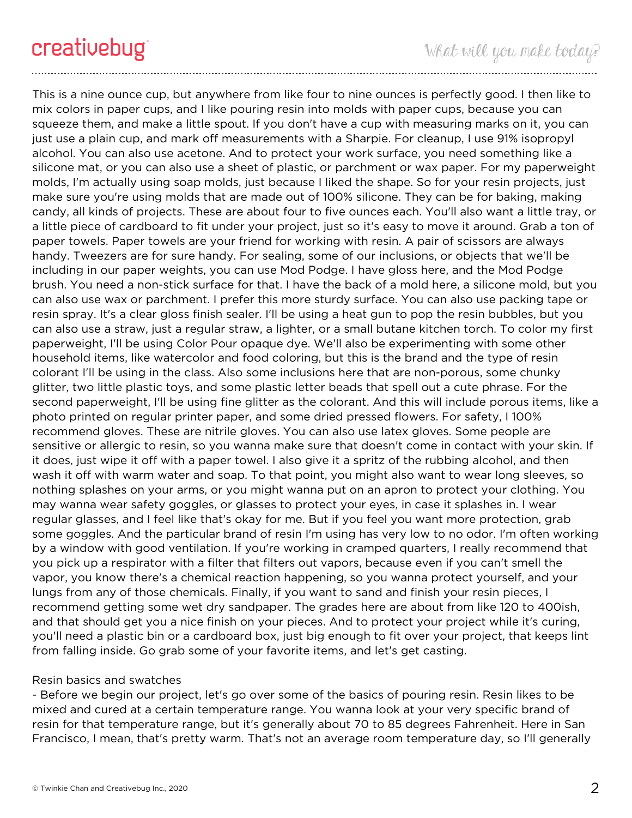This is a nine ounce cup, but anywhere from like four to nine ounces is perfectly good. I then like to mix colors in paper cups, and I like pouring resin into molds with paper cups, because you can squeeze them, and make a little spout. If you don't have a cup with measuring marks on it, you can just use a plain cup, and mark off measurements with a Sharpie. For cleanup, I use 91% isopropyl alcohol. You can also use acetone. And to protect your work surface, you need something like a silicone mat, or you can also use a sheet of plastic, or parchment or wax paper. For my paperweight molds, I'm actually using soap molds, just because I liked the shape. So for your resin projects, just make sure you're using molds that are made out of 100% silicone. They can be for baking, making candy, all kinds of projects. These are about four to five ounces each. You'll also want a little tray, or a little piece of cardboard to fit under your project, just so it's easy to move it around. Grab a ton of paper towels. Paper towels are your friend for working with resin. A pair of scissors are always handy. Tweezers are for sure handy. For sealing, some of our inclusions, or objects that we'll be including in our paper weights, you can use Mod Podge. I have gloss here, and the Mod Podge brush. You need a non-stick surface for that. I have the back of a mold here, a silicone mold, but you can also use wax or parchment. I prefer this more sturdy surface. You can also use packing tape or resin spray. It's a clear gloss finish sealer. I'll be using a heat gun to pop the resin bubbles, but you can also use a straw, just a regular straw, a lighter, or a small butane kitchen torch. To color my first paperweight, I'll be using Color Pour opaque dye. We'll also be experimenting with some other household items, like watercolor and food coloring, but this is the brand and the type of resin colorant I'll be using in the class. Also some inclusions here that are non-porous, some chunky glitter, two little plastic toys, and some plastic letter beads that spell out a cute phrase. For the second paperweight, I'll be using fine glitter as the colorant. And this will include porous items, like a photo printed on regular printer paper, and some dried pressed flowers. For safety, I 100% recommend gloves. These are nitrile gloves. You can also use latex gloves. Some people are sensitive or allergic to resin, so you wanna make sure that doesn't come in contact with your skin. If it does, just wipe it off with a paper towel. I also give it a spritz of the rubbing alcohol, and then wash it off with warm water and soap. To that point, you might also want to wear long sleeves, so nothing splashes on your arms, or you might wanna put on an apron to protect your clothing. You may wanna wear safety goggles, or glasses to protect your eyes, in case it splashes in. I wear regular glasses, and I feel like that's okay for me. But if you feel you want more protection, grab some goggles. And the particular brand of resin I'm using has very low to no odor. I'm often working by a window with good ventilation. If you're working in cramped quarters, I really recommend that you pick up a respirator with a filter that filters out vapors, because even if you can't smell the vapor, you know there's a chemical reaction happening, so you wanna protect yourself, and your lungs from any of those chemicals. Finally, if you want to sand and finish your resin pieces, I recommend getting some wet dry sandpaper. The grades here are about from like 120 to 400ish, and that should get you a nice finish on your pieces. And to protect your project while it's curing, you'll need a plastic bin or a cardboard box, just big enough to fit over your project, that keeps lint from falling inside. Go grab some of your favorite items, and let's get casting.

### Resin basics and swatches

- Before we begin our project, let's go over some of the basics of pouring resin. Resin likes to be mixed and cured at a certain temperature range. You wanna look at your very specific brand of resin for that temperature range, but it's generally about 70 to 85 degrees Fahrenheit. Here in San Francisco, I mean, that's pretty warm. That's not an average room temperature day, so I'll generally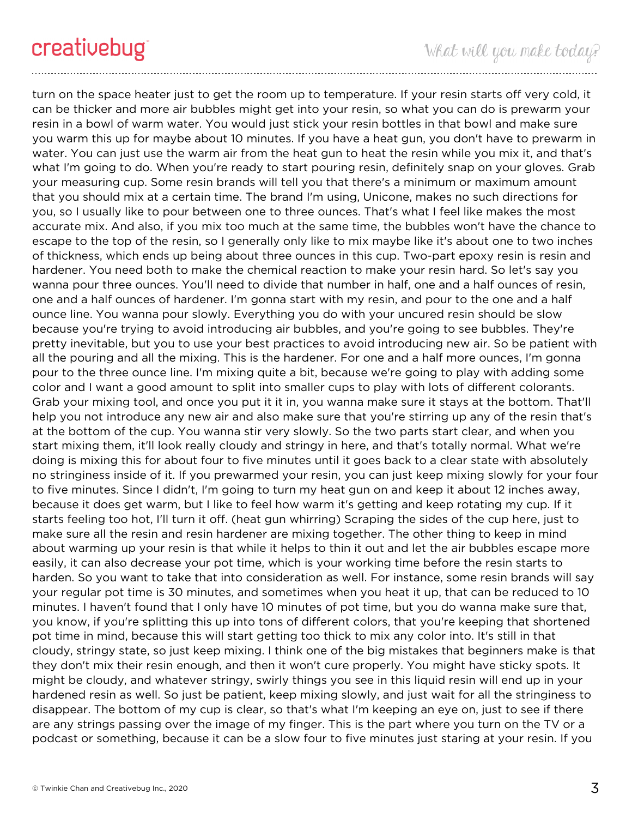turn on the space heater just to get the room up to temperature. If your resin starts off very cold, it can be thicker and more air bubbles might get into your resin, so what you can do is prewarm your resin in a bowl of warm water. You would just stick your resin bottles in that bowl and make sure you warm this up for maybe about 10 minutes. If you have a heat gun, you don't have to prewarm in water. You can just use the warm air from the heat gun to heat the resin while you mix it, and that's what I'm going to do. When you're ready to start pouring resin, definitely snap on your gloves. Grab your measuring cup. Some resin brands will tell you that there's a minimum or maximum amount that you should mix at a certain time. The brand I'm using, Unicone, makes no such directions for you, so I usually like to pour between one to three ounces. That's what I feel like makes the most accurate mix. And also, if you mix too much at the same time, the bubbles won't have the chance to escape to the top of the resin, so I generally only like to mix maybe like it's about one to two inches of thickness, which ends up being about three ounces in this cup. Two-part epoxy resin is resin and hardener. You need both to make the chemical reaction to make your resin hard. So let's say you wanna pour three ounces. You'll need to divide that number in half, one and a half ounces of resin, one and a half ounces of hardener. I'm gonna start with my resin, and pour to the one and a half ounce line. You wanna pour slowly. Everything you do with your uncured resin should be slow because you're trying to avoid introducing air bubbles, and you're going to see bubbles. They're pretty inevitable, but you to use your best practices to avoid introducing new air. So be patient with all the pouring and all the mixing. This is the hardener. For one and a half more ounces, I'm gonna pour to the three ounce line. I'm mixing quite a bit, because we're going to play with adding some color and I want a good amount to split into smaller cups to play with lots of different colorants. Grab your mixing tool, and once you put it it in, you wanna make sure it stays at the bottom. That'll help you not introduce any new air and also make sure that you're stirring up any of the resin that's at the bottom of the cup. You wanna stir very slowly. So the two parts start clear, and when you start mixing them, it'll look really cloudy and stringy in here, and that's totally normal. What we're doing is mixing this for about four to five minutes until it goes back to a clear state with absolutely no stringiness inside of it. If you prewarmed your resin, you can just keep mixing slowly for your four to five minutes. Since I didn't, I'm going to turn my heat gun on and keep it about 12 inches away, because it does get warm, but I like to feel how warm it's getting and keep rotating my cup. If it starts feeling too hot, I'll turn it off. (heat gun whirring) Scraping the sides of the cup here, just to make sure all the resin and resin hardener are mixing together. The other thing to keep in mind about warming up your resin is that while it helps to thin it out and let the air bubbles escape more easily, it can also decrease your pot time, which is your working time before the resin starts to harden. So you want to take that into consideration as well. For instance, some resin brands will say your regular pot time is 30 minutes, and sometimes when you heat it up, that can be reduced to 10 minutes. I haven't found that I only have 10 minutes of pot time, but you do wanna make sure that, you know, if you're splitting this up into tons of different colors, that you're keeping that shortened pot time in mind, because this will start getting too thick to mix any color into. It's still in that cloudy, stringy state, so just keep mixing. I think one of the big mistakes that beginners make is that they don't mix their resin enough, and then it won't cure properly. You might have sticky spots. It might be cloudy, and whatever stringy, swirly things you see in this liquid resin will end up in your hardened resin as well. So just be patient, keep mixing slowly, and just wait for all the stringiness to disappear. The bottom of my cup is clear, so that's what I'm keeping an eye on, just to see if there are any strings passing over the image of my finger. This is the part where you turn on the TV or a podcast or something, because it can be a slow four to five minutes just staring at your resin. If you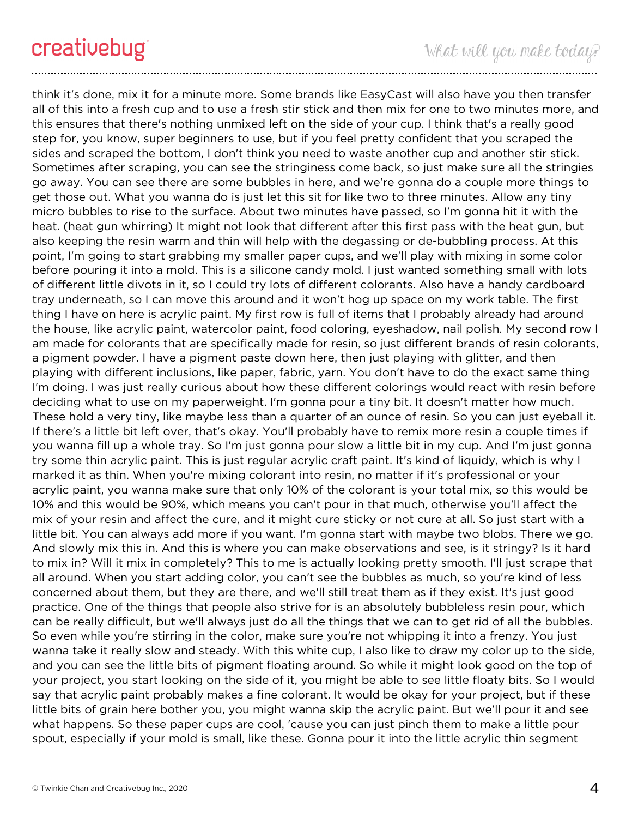think it's done, mix it for a minute more. Some brands like EasyCast will also have you then transfer all of this into a fresh cup and to use a fresh stir stick and then mix for one to two minutes more, and this ensures that there's nothing unmixed left on the side of your cup. I think that's a really good step for, you know, super beginners to use, but if you feel pretty confident that you scraped the sides and scraped the bottom, I don't think you need to waste another cup and another stir stick. Sometimes after scraping, you can see the stringiness come back, so just make sure all the stringies go away. You can see there are some bubbles in here, and we're gonna do a couple more things to get those out. What you wanna do is just let this sit for like two to three minutes. Allow any tiny micro bubbles to rise to the surface. About two minutes have passed, so I'm gonna hit it with the heat. (heat gun whirring) It might not look that different after this first pass with the heat gun, but also keeping the resin warm and thin will help with the degassing or de-bubbling process. At this point, I'm going to start grabbing my smaller paper cups, and we'll play with mixing in some color before pouring it into a mold. This is a silicone candy mold. I just wanted something small with lots of different little divots in it, so I could try lots of different colorants. Also have a handy cardboard tray underneath, so I can move this around and it won't hog up space on my work table. The first thing I have on here is acrylic paint. My first row is full of items that I probably already had around the house, like acrylic paint, watercolor paint, food coloring, eyeshadow, nail polish. My second row I am made for colorants that are specifically made for resin, so just different brands of resin colorants, a pigment powder. I have a pigment paste down here, then just playing with glitter, and then playing with different inclusions, like paper, fabric, yarn. You don't have to do the exact same thing I'm doing. I was just really curious about how these different colorings would react with resin before deciding what to use on my paperweight. I'm gonna pour a tiny bit. It doesn't matter how much. These hold a very tiny, like maybe less than a quarter of an ounce of resin. So you can just eyeball it. If there's a little bit left over, that's okay. You'll probably have to remix more resin a couple times if you wanna fill up a whole tray. So I'm just gonna pour slow a little bit in my cup. And I'm just gonna try some thin acrylic paint. This is just regular acrylic craft paint. It's kind of liquidy, which is why I marked it as thin. When you're mixing colorant into resin, no matter if it's professional or your acrylic paint, you wanna make sure that only 10% of the colorant is your total mix, so this would be 10% and this would be 90%, which means you can't pour in that much, otherwise you'll affect the mix of your resin and affect the cure, and it might cure sticky or not cure at all. So just start with a little bit. You can always add more if you want. I'm gonna start with maybe two blobs. There we go. And slowly mix this in. And this is where you can make observations and see, is it stringy? Is it hard to mix in? Will it mix in completely? This to me is actually looking pretty smooth. I'll just scrape that all around. When you start adding color, you can't see the bubbles as much, so you're kind of less concerned about them, but they are there, and we'll still treat them as if they exist. It's just good practice. One of the things that people also strive for is an absolutely bubbleless resin pour, which can be really difficult, but we'll always just do all the things that we can to get rid of all the bubbles. So even while you're stirring in the color, make sure you're not whipping it into a frenzy. You just wanna take it really slow and steady. With this white cup, I also like to draw my color up to the side, and you can see the little bits of pigment floating around. So while it might look good on the top of your project, you start looking on the side of it, you might be able to see little floaty bits. So I would say that acrylic paint probably makes a fine colorant. It would be okay for your project, but if these little bits of grain here bother you, you might wanna skip the acrylic paint. But we'll pour it and see what happens. So these paper cups are cool, 'cause you can just pinch them to make a little pour spout, especially if your mold is small, like these. Gonna pour it into the little acrylic thin segment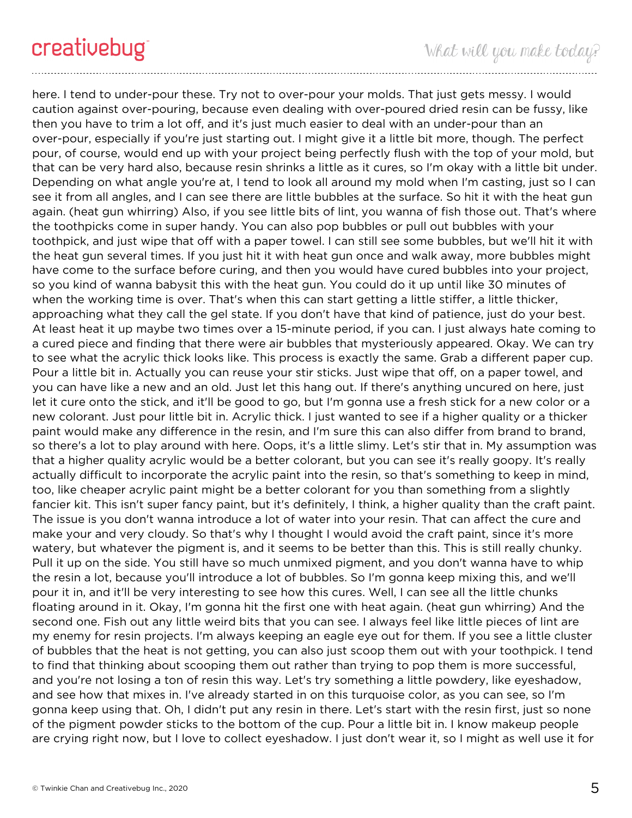here. I tend to under-pour these. Try not to over-pour your molds. That just gets messy. I would caution against over-pouring, because even dealing with over-poured dried resin can be fussy, like then you have to trim a lot off, and it's just much easier to deal with an under-pour than an over-pour, especially if you're just starting out. I might give it a little bit more, though. The perfect pour, of course, would end up with your project being perfectly flush with the top of your mold, but that can be very hard also, because resin shrinks a little as it cures, so I'm okay with a little bit under. Depending on what angle you're at, I tend to look all around my mold when I'm casting, just so I can see it from all angles, and I can see there are little bubbles at the surface. So hit it with the heat gun again. (heat gun whirring) Also, if you see little bits of lint, you wanna of fish those out. That's where the toothpicks come in super handy. You can also pop bubbles or pull out bubbles with your toothpick, and just wipe that off with a paper towel. I can still see some bubbles, but we'll hit it with the heat gun several times. If you just hit it with heat gun once and walk away, more bubbles might have come to the surface before curing, and then you would have cured bubbles into your project, so you kind of wanna babysit this with the heat gun. You could do it up until like 30 minutes of when the working time is over. That's when this can start getting a little stiffer, a little thicker, approaching what they call the gel state. If you don't have that kind of patience, just do your best. At least heat it up maybe two times over a 15-minute period, if you can. I just always hate coming to a cured piece and finding that there were air bubbles that mysteriously appeared. Okay. We can try to see what the acrylic thick looks like. This process is exactly the same. Grab a different paper cup. Pour a little bit in. Actually you can reuse your stir sticks. Just wipe that off, on a paper towel, and you can have like a new and an old. Just let this hang out. If there's anything uncured on here, just let it cure onto the stick, and it'll be good to go, but I'm gonna use a fresh stick for a new color or a new colorant. Just pour little bit in. Acrylic thick. I just wanted to see if a higher quality or a thicker paint would make any difference in the resin, and I'm sure this can also differ from brand to brand, so there's a lot to play around with here. Oops, it's a little slimy. Let's stir that in. My assumption was that a higher quality acrylic would be a better colorant, but you can see it's really goopy. It's really actually difficult to incorporate the acrylic paint into the resin, so that's something to keep in mind, too, like cheaper acrylic paint might be a better colorant for you than something from a slightly fancier kit. This isn't super fancy paint, but it's definitely, I think, a higher quality than the craft paint. The issue is you don't wanna introduce a lot of water into your resin. That can affect the cure and make your and very cloudy. So that's why I thought I would avoid the craft paint, since it's more watery, but whatever the pigment is, and it seems to be better than this. This is still really chunky. Pull it up on the side. You still have so much unmixed pigment, and you don't wanna have to whip the resin a lot, because you'll introduce a lot of bubbles. So I'm gonna keep mixing this, and we'll pour it in, and it'll be very interesting to see how this cures. Well, I can see all the little chunks floating around in it. Okay, I'm gonna hit the first one with heat again. (heat gun whirring) And the second one. Fish out any little weird bits that you can see. I always feel like little pieces of lint are my enemy for resin projects. I'm always keeping an eagle eye out for them. If you see a little cluster of bubbles that the heat is not getting, you can also just scoop them out with your toothpick. I tend to find that thinking about scooping them out rather than trying to pop them is more successful, and you're not losing a ton of resin this way. Let's try something a little powdery, like eyeshadow, and see how that mixes in. I've already started in on this turquoise color, as you can see, so I'm gonna keep using that. Oh, I didn't put any resin in there. Let's start with the resin first, just so none of the pigment powder sticks to the bottom of the cup. Pour a little bit in. I know makeup people are crying right now, but I love to collect eyeshadow. I just don't wear it, so I might as well use it for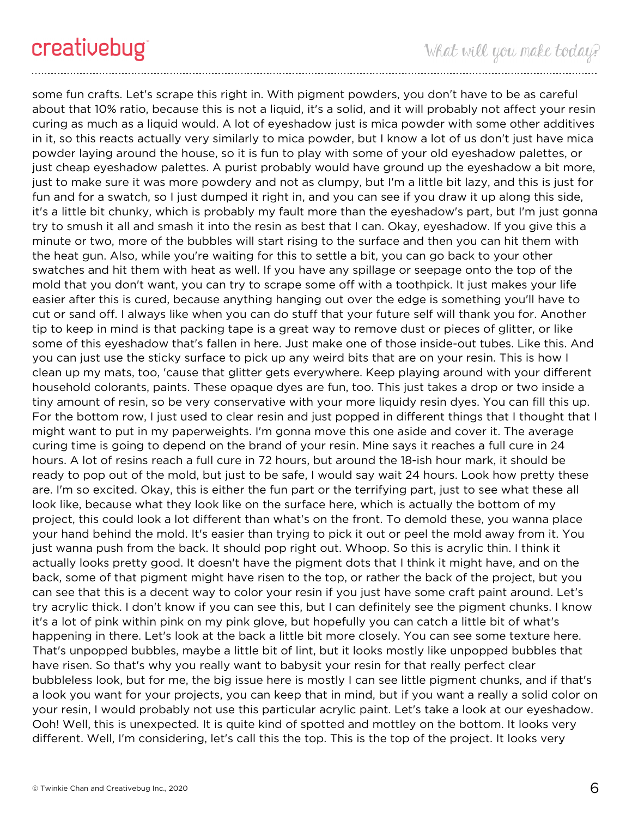some fun crafts. Let's scrape this right in. With pigment powders, you don't have to be as careful about that 10% ratio, because this is not a liquid, it's a solid, and it will probably not affect your resin curing as much as a liquid would. A lot of eyeshadow just is mica powder with some other additives in it, so this reacts actually very similarly to mica powder, but I know a lot of us don't just have mica powder laying around the house, so it is fun to play with some of your old eyeshadow palettes, or just cheap eyeshadow palettes. A purist probably would have ground up the eyeshadow a bit more, just to make sure it was more powdery and not as clumpy, but I'm a little bit lazy, and this is just for fun and for a swatch, so I just dumped it right in, and you can see if you draw it up along this side, it's a little bit chunky, which is probably my fault more than the eyeshadow's part, but I'm just gonna try to smush it all and smash it into the resin as best that I can. Okay, eyeshadow. If you give this a minute or two, more of the bubbles will start rising to the surface and then you can hit them with the heat gun. Also, while you're waiting for this to settle a bit, you can go back to your other swatches and hit them with heat as well. If you have any spillage or seepage onto the top of the mold that you don't want, you can try to scrape some off with a toothpick. It just makes your life easier after this is cured, because anything hanging out over the edge is something you'll have to cut or sand off. I always like when you can do stuff that your future self will thank you for. Another tip to keep in mind is that packing tape is a great way to remove dust or pieces of glitter, or like some of this eyeshadow that's fallen in here. Just make one of those inside-out tubes. Like this. And you can just use the sticky surface to pick up any weird bits that are on your resin. This is how I clean up my mats, too, 'cause that glitter gets everywhere. Keep playing around with your different household colorants, paints. These opaque dyes are fun, too. This just takes a drop or two inside a tiny amount of resin, so be very conservative with your more liquidy resin dyes. You can fill this up. For the bottom row, I just used to clear resin and just popped in different things that I thought that I might want to put in my paperweights. I'm gonna move this one aside and cover it. The average curing time is going to depend on the brand of your resin. Mine says it reaches a full cure in 24 hours. A lot of resins reach a full cure in 72 hours, but around the 18-ish hour mark, it should be ready to pop out of the mold, but just to be safe, I would say wait 24 hours. Look how pretty these are. I'm so excited. Okay, this is either the fun part or the terrifying part, just to see what these all look like, because what they look like on the surface here, which is actually the bottom of my project, this could look a lot different than what's on the front. To demold these, you wanna place your hand behind the mold. It's easier than trying to pick it out or peel the mold away from it. You just wanna push from the back. It should pop right out. Whoop. So this is acrylic thin. I think it actually looks pretty good. It doesn't have the pigment dots that I think it might have, and on the back, some of that pigment might have risen to the top, or rather the back of the project, but you can see that this is a decent way to color your resin if you just have some craft paint around. Let's try acrylic thick. I don't know if you can see this, but I can definitely see the pigment chunks. I know it's a lot of pink within pink on my pink glove, but hopefully you can catch a little bit of what's happening in there. Let's look at the back a little bit more closely. You can see some texture here. That's unpopped bubbles, maybe a little bit of lint, but it looks mostly like unpopped bubbles that have risen. So that's why you really want to babysit your resin for that really perfect clear bubbleless look, but for me, the big issue here is mostly I can see little pigment chunks, and if that's a look you want for your projects, you can keep that in mind, but if you want a really a solid color on your resin, I would probably not use this particular acrylic paint. Let's take a look at our eyeshadow. Ooh! Well, this is unexpected. It is quite kind of spotted and mottley on the bottom. It looks very different. Well, I'm considering, let's call this the top. This is the top of the project. It looks very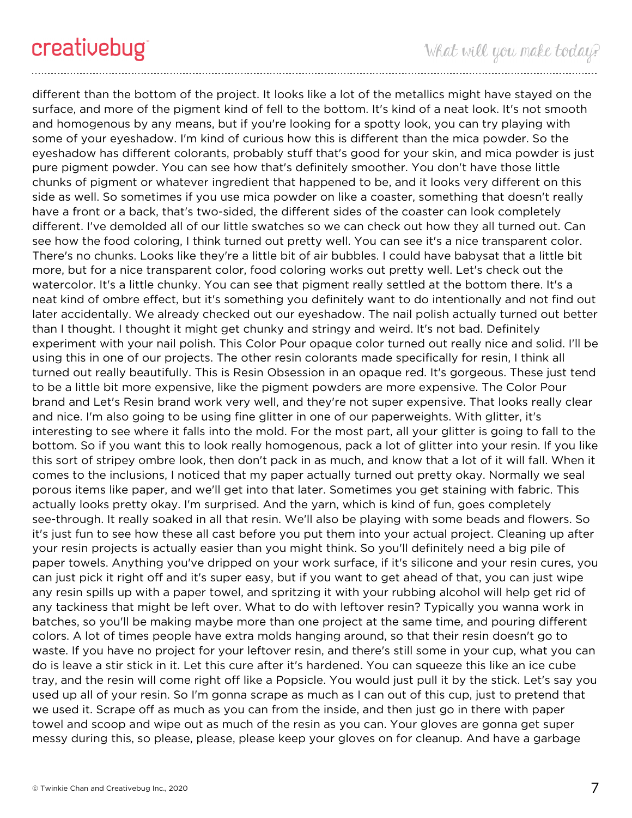different than the bottom of the project. It looks like a lot of the metallics might have stayed on the surface, and more of the pigment kind of fell to the bottom. It's kind of a neat look. It's not smooth and homogenous by any means, but if you're looking for a spotty look, you can try playing with some of your eyeshadow. I'm kind of curious how this is different than the mica powder. So the eyeshadow has different colorants, probably stuff that's good for your skin, and mica powder is just pure pigment powder. You can see how that's definitely smoother. You don't have those little chunks of pigment or whatever ingredient that happened to be, and it looks very different on this side as well. So sometimes if you use mica powder on like a coaster, something that doesn't really have a front or a back, that's two-sided, the different sides of the coaster can look completely different. I've demolded all of our little swatches so we can check out how they all turned out. Can see how the food coloring, I think turned out pretty well. You can see it's a nice transparent color. There's no chunks. Looks like they're a little bit of air bubbles. I could have babysat that a little bit more, but for a nice transparent color, food coloring works out pretty well. Let's check out the watercolor. It's a little chunky. You can see that pigment really settled at the bottom there. It's a neat kind of ombre effect, but it's something you definitely want to do intentionally and not find out later accidentally. We already checked out our eyeshadow. The nail polish actually turned out better than I thought. I thought it might get chunky and stringy and weird. It's not bad. Definitely experiment with your nail polish. This Color Pour opaque color turned out really nice and solid. I'll be using this in one of our projects. The other resin colorants made specifically for resin, I think all turned out really beautifully. This is Resin Obsession in an opaque red. It's gorgeous. These just tend to be a little bit more expensive, like the pigment powders are more expensive. The Color Pour brand and Let's Resin brand work very well, and they're not super expensive. That looks really clear and nice. I'm also going to be using fine glitter in one of our paperweights. With glitter, it's interesting to see where it falls into the mold. For the most part, all your glitter is going to fall to the bottom. So if you want this to look really homogenous, pack a lot of glitter into your resin. If you like this sort of stripey ombre look, then don't pack in as much, and know that a lot of it will fall. When it comes to the inclusions, I noticed that my paper actually turned out pretty okay. Normally we seal porous items like paper, and we'll get into that later. Sometimes you get staining with fabric. This actually looks pretty okay. I'm surprised. And the yarn, which is kind of fun, goes completely see-through. It really soaked in all that resin. We'll also be playing with some beads and flowers. So it's just fun to see how these all cast before you put them into your actual project. Cleaning up after your resin projects is actually easier than you might think. So you'll definitely need a big pile of paper towels. Anything you've dripped on your work surface, if it's silicone and your resin cures, you can just pick it right off and it's super easy, but if you want to get ahead of that, you can just wipe any resin spills up with a paper towel, and spritzing it with your rubbing alcohol will help get rid of any tackiness that might be left over. What to do with leftover resin? Typically you wanna work in batches, so you'll be making maybe more than one project at the same time, and pouring different colors. A lot of times people have extra molds hanging around, so that their resin doesn't go to waste. If you have no project for your leftover resin, and there's still some in your cup, what you can do is leave a stir stick in it. Let this cure after it's hardened. You can squeeze this like an ice cube tray, and the resin will come right off like a Popsicle. You would just pull it by the stick. Let's say you used up all of your resin. So I'm gonna scrape as much as I can out of this cup, just to pretend that we used it. Scrape off as much as you can from the inside, and then just go in there with paper towel and scoop and wipe out as much of the resin as you can. Your gloves are gonna get super messy during this, so please, please, please keep your gloves on for cleanup. And have a garbage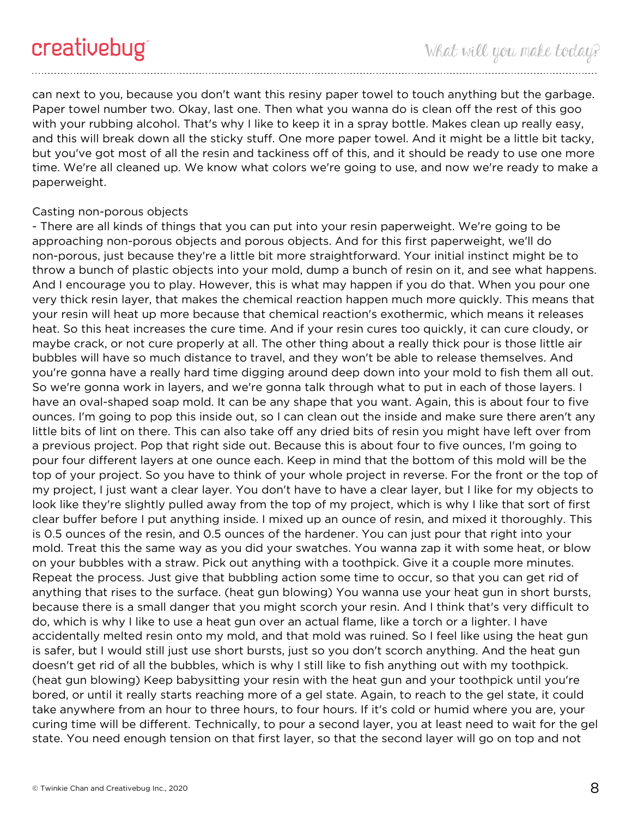can next to you, because you don't want this resiny paper towel to touch anything but the garbage. Paper towel number two. Okay, last one. Then what you wanna do is clean off the rest of this goo with your rubbing alcohol. That's why I like to keep it in a spray bottle. Makes clean up really easy, and this will break down all the sticky stuff. One more paper towel. And it might be a little bit tacky, but you've got most of all the resin and tackiness off of this, and it should be ready to use one more time. We're all cleaned up. We know what colors we're going to use, and now we're ready to make a paperweight.

### Casting non-porous objects

- There are all kinds of things that you can put into your resin paperweight. We're going to be approaching non-porous objects and porous objects. And for this first paperweight, we'll do non-porous, just because they're a little bit more straightforward. Your initial instinct might be to throw a bunch of plastic objects into your mold, dump a bunch of resin on it, and see what happens. And I encourage you to play. However, this is what may happen if you do that. When you pour one very thick resin layer, that makes the chemical reaction happen much more quickly. This means that your resin will heat up more because that chemical reaction's exothermic, which means it releases heat. So this heat increases the cure time. And if your resin cures too quickly, it can cure cloudy, or maybe crack, or not cure properly at all. The other thing about a really thick pour is those little air bubbles will have so much distance to travel, and they won't be able to release themselves. And you're gonna have a really hard time digging around deep down into your mold to fish them all out. So we're gonna work in layers, and we're gonna talk through what to put in each of those layers. I have an oval-shaped soap mold. It can be any shape that you want. Again, this is about four to five ounces. I'm going to pop this inside out, so I can clean out the inside and make sure there aren't any little bits of lint on there. This can also take off any dried bits of resin you might have left over from a previous project. Pop that right side out. Because this is about four to five ounces, I'm going to pour four different layers at one ounce each. Keep in mind that the bottom of this mold will be the top of your project. So you have to think of your whole project in reverse. For the front or the top of my project, I just want a clear layer. You don't have to have a clear layer, but I like for my objects to look like they're slightly pulled away from the top of my project, which is why I like that sort of first clear buffer before I put anything inside. I mixed up an ounce of resin, and mixed it thoroughly. This is 0.5 ounces of the resin, and 0.5 ounces of the hardener. You can just pour that right into your mold. Treat this the same way as you did your swatches. You wanna zap it with some heat, or blow on your bubbles with a straw. Pick out anything with a toothpick. Give it a couple more minutes. Repeat the process. Just give that bubbling action some time to occur, so that you can get rid of anything that rises to the surface. (heat gun blowing) You wanna use your heat gun in short bursts, because there is a small danger that you might scorch your resin. And I think that's very difficult to do, which is why I like to use a heat gun over an actual flame, like a torch or a lighter. I have accidentally melted resin onto my mold, and that mold was ruined. So I feel like using the heat gun is safer, but I would still just use short bursts, just so you don't scorch anything. And the heat gun doesn't get rid of all the bubbles, which is why I still like to fish anything out with my toothpick. (heat gun blowing) Keep babysitting your resin with the heat gun and your toothpick until you're bored, or until it really starts reaching more of a gel state. Again, to reach to the gel state, it could take anywhere from an hour to three hours, to four hours. If it's cold or humid where you are, your curing time will be different. Technically, to pour a second layer, you at least need to wait for the gel state. You need enough tension on that first layer, so that the second layer will go on top and not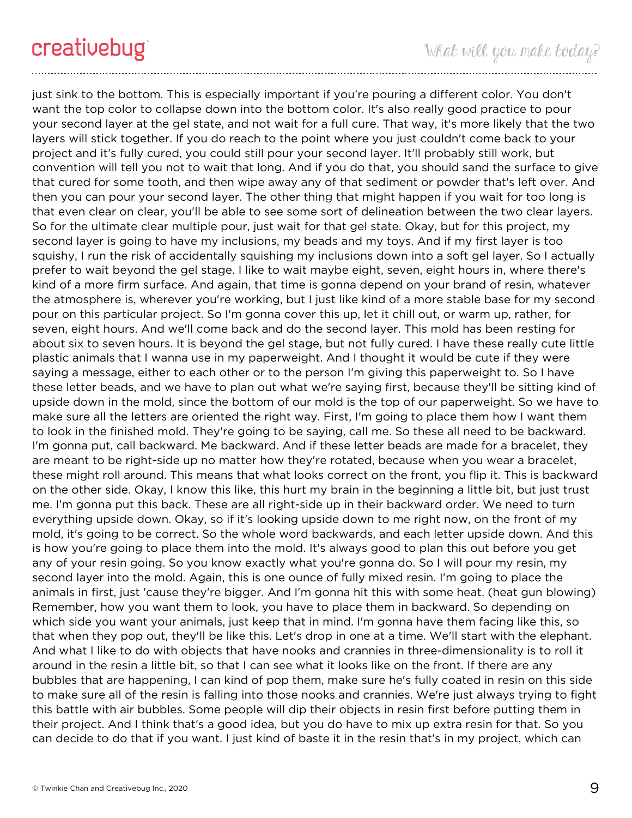just sink to the bottom. This is especially important if you're pouring a different color. You don't want the top color to collapse down into the bottom color. It's also really good practice to pour your second layer at the gel state, and not wait for a full cure. That way, it's more likely that the two layers will stick together. If you do reach to the point where you just couldn't come back to your project and it's fully cured, you could still pour your second layer. It'll probably still work, but convention will tell you not to wait that long. And if you do that, you should sand the surface to give that cured for some tooth, and then wipe away any of that sediment or powder that's left over. And then you can pour your second layer. The other thing that might happen if you wait for too long is that even clear on clear, you'll be able to see some sort of delineation between the two clear layers. So for the ultimate clear multiple pour, just wait for that gel state. Okay, but for this project, my second layer is going to have my inclusions, my beads and my toys. And if my first layer is too squishy, I run the risk of accidentally squishing my inclusions down into a soft gel layer. So I actually prefer to wait beyond the gel stage. I like to wait maybe eight, seven, eight hours in, where there's kind of a more firm surface. And again, that time is gonna depend on your brand of resin, whatever the atmosphere is, wherever you're working, but I just like kind of a more stable base for my second pour on this particular project. So I'm gonna cover this up, let it chill out, or warm up, rather, for seven, eight hours. And we'll come back and do the second layer. This mold has been resting for about six to seven hours. It is beyond the gel stage, but not fully cured. I have these really cute little plastic animals that I wanna use in my paperweight. And I thought it would be cute if they were saying a message, either to each other or to the person I'm giving this paperweight to. So I have these letter beads, and we have to plan out what we're saying first, because they'll be sitting kind of upside down in the mold, since the bottom of our mold is the top of our paperweight. So we have to make sure all the letters are oriented the right way. First, I'm going to place them how I want them to look in the finished mold. They're going to be saying, call me. So these all need to be backward. I'm gonna put, call backward. Me backward. And if these letter beads are made for a bracelet, they are meant to be right-side up no matter how they're rotated, because when you wear a bracelet, these might roll around. This means that what looks correct on the front, you flip it. This is backward on the other side. Okay, I know this like, this hurt my brain in the beginning a little bit, but just trust me. I'm gonna put this back. These are all right-side up in their backward order. We need to turn everything upside down. Okay, so if it's looking upside down to me right now, on the front of my mold, it's going to be correct. So the whole word backwards, and each letter upside down. And this is how you're going to place them into the mold. It's always good to plan this out before you get any of your resin going. So you know exactly what you're gonna do. So I will pour my resin, my second layer into the mold. Again, this is one ounce of fully mixed resin. I'm going to place the animals in first, just 'cause they're bigger. And I'm gonna hit this with some heat. (heat gun blowing) Remember, how you want them to look, you have to place them in backward. So depending on which side you want your animals, just keep that in mind. I'm gonna have them facing like this, so that when they pop out, they'll be like this. Let's drop in one at a time. We'll start with the elephant. And what I like to do with objects that have nooks and crannies in three-dimensionality is to roll it around in the resin a little bit, so that I can see what it looks like on the front. If there are any bubbles that are happening, I can kind of pop them, make sure he's fully coated in resin on this side to make sure all of the resin is falling into those nooks and crannies. We're just always trying to fight this battle with air bubbles. Some people will dip their objects in resin first before putting them in their project. And I think that's a good idea, but you do have to mix up extra resin for that. So you can decide to do that if you want. I just kind of baste it in the resin that's in my project, which can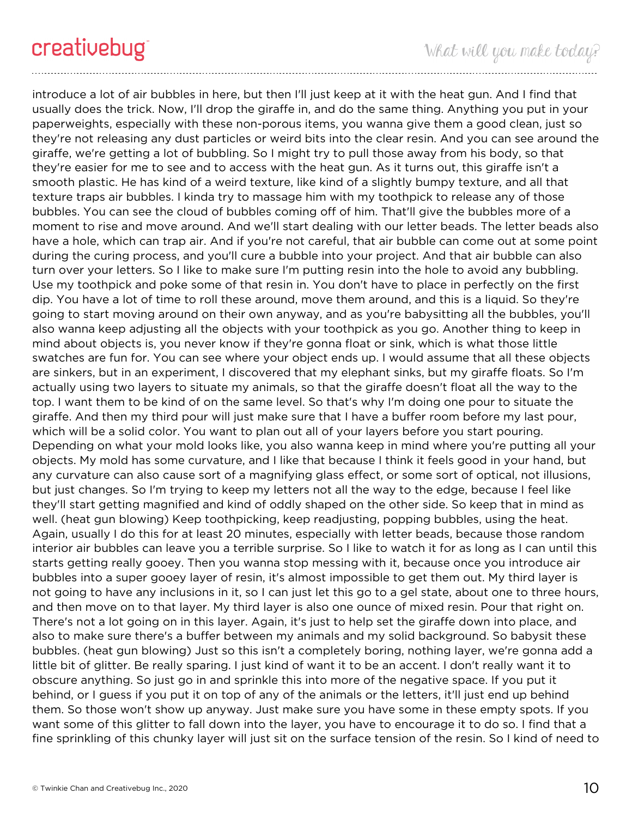introduce a lot of air bubbles in here, but then I'll just keep at it with the heat gun. And I find that usually does the trick. Now, I'll drop the giraffe in, and do the same thing. Anything you put in your paperweights, especially with these non-porous items, you wanna give them a good clean, just so they're not releasing any dust particles or weird bits into the clear resin. And you can see around the giraffe, we're getting a lot of bubbling. So I might try to pull those away from his body, so that they're easier for me to see and to access with the heat gun. As it turns out, this giraffe isn't a smooth plastic. He has kind of a weird texture, like kind of a slightly bumpy texture, and all that texture traps air bubbles. I kinda try to massage him with my toothpick to release any of those bubbles. You can see the cloud of bubbles coming off of him. That'll give the bubbles more of a moment to rise and move around. And we'll start dealing with our letter beads. The letter beads also have a hole, which can trap air. And if you're not careful, that air bubble can come out at some point during the curing process, and you'll cure a bubble into your project. And that air bubble can also turn over your letters. So I like to make sure I'm putting resin into the hole to avoid any bubbling. Use my toothpick and poke some of that resin in. You don't have to place in perfectly on the first dip. You have a lot of time to roll these around, move them around, and this is a liquid. So they're going to start moving around on their own anyway, and as you're babysitting all the bubbles, you'll also wanna keep adjusting all the objects with your toothpick as you go. Another thing to keep in mind about objects is, you never know if they're gonna float or sink, which is what those little swatches are fun for. You can see where your object ends up. I would assume that all these objects are sinkers, but in an experiment, I discovered that my elephant sinks, but my giraffe floats. So I'm actually using two layers to situate my animals, so that the giraffe doesn't float all the way to the top. I want them to be kind of on the same level. So that's why I'm doing one pour to situate the giraffe. And then my third pour will just make sure that I have a buffer room before my last pour, which will be a solid color. You want to plan out all of your layers before you start pouring. Depending on what your mold looks like, you also wanna keep in mind where you're putting all your objects. My mold has some curvature, and I like that because I think it feels good in your hand, but any curvature can also cause sort of a magnifying glass effect, or some sort of optical, not illusions, but just changes. So I'm trying to keep my letters not all the way to the edge, because I feel like they'll start getting magnified and kind of oddly shaped on the other side. So keep that in mind as well. (heat gun blowing) Keep toothpicking, keep readjusting, popping bubbles, using the heat. Again, usually I do this for at least 20 minutes, especially with letter beads, because those random interior air bubbles can leave you a terrible surprise. So I like to watch it for as long as I can until this starts getting really gooey. Then you wanna stop messing with it, because once you introduce air bubbles into a super gooey layer of resin, it's almost impossible to get them out. My third layer is not going to have any inclusions in it, so I can just let this go to a gel state, about one to three hours, and then move on to that layer. My third layer is also one ounce of mixed resin. Pour that right on. There's not a lot going on in this layer. Again, it's just to help set the giraffe down into place, and also to make sure there's a buffer between my animals and my solid background. So babysit these bubbles. (heat gun blowing) Just so this isn't a completely boring, nothing layer, we're gonna add a little bit of glitter. Be really sparing. I just kind of want it to be an accent. I don't really want it to obscure anything. So just go in and sprinkle this into more of the negative space. If you put it behind, or I guess if you put it on top of any of the animals or the letters, it'll just end up behind them. So those won't show up anyway. Just make sure you have some in these empty spots. If you want some of this glitter to fall down into the layer, you have to encourage it to do so. I find that a fine sprinkling of this chunky layer will just sit on the surface tension of the resin. So I kind of need to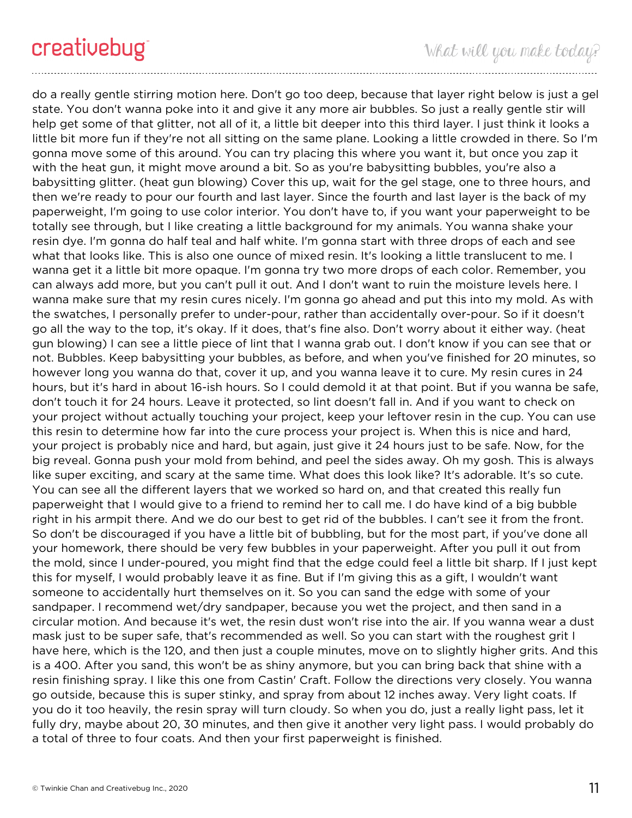do a really gentle stirring motion here. Don't go too deep, because that layer right below is just a gel state. You don't wanna poke into it and give it any more air bubbles. So just a really gentle stir will help get some of that glitter, not all of it, a little bit deeper into this third layer. I just think it looks a little bit more fun if they're not all sitting on the same plane. Looking a little crowded in there. So I'm gonna move some of this around. You can try placing this where you want it, but once you zap it with the heat gun, it might move around a bit. So as you're babysitting bubbles, you're also a babysitting glitter. (heat gun blowing) Cover this up, wait for the gel stage, one to three hours, and then we're ready to pour our fourth and last layer. Since the fourth and last layer is the back of my paperweight, I'm going to use color interior. You don't have to, if you want your paperweight to be totally see through, but I like creating a little background for my animals. You wanna shake your resin dye. I'm gonna do half teal and half white. I'm gonna start with three drops of each and see what that looks like. This is also one ounce of mixed resin. It's looking a little translucent to me. I wanna get it a little bit more opaque. I'm gonna try two more drops of each color. Remember, you can always add more, but you can't pull it out. And I don't want to ruin the moisture levels here. I wanna make sure that my resin cures nicely. I'm gonna go ahead and put this into my mold. As with the swatches, I personally prefer to under-pour, rather than accidentally over-pour. So if it doesn't go all the way to the top, it's okay. If it does, that's fine also. Don't worry about it either way. (heat gun blowing) I can see a little piece of lint that I wanna grab out. I don't know if you can see that or not. Bubbles. Keep babysitting your bubbles, as before, and when you've finished for 20 minutes, so however long you wanna do that, cover it up, and you wanna leave it to cure. My resin cures in 24 hours, but it's hard in about 16-ish hours. So I could demold it at that point. But if you wanna be safe, don't touch it for 24 hours. Leave it protected, so lint doesn't fall in. And if you want to check on your project without actually touching your project, keep your leftover resin in the cup. You can use this resin to determine how far into the cure process your project is. When this is nice and hard, your project is probably nice and hard, but again, just give it 24 hours just to be safe. Now, for the big reveal. Gonna push your mold from behind, and peel the sides away. Oh my gosh. This is always like super exciting, and scary at the same time. What does this look like? It's adorable. It's so cute. You can see all the different layers that we worked so hard on, and that created this really fun paperweight that I would give to a friend to remind her to call me. I do have kind of a big bubble right in his armpit there. And we do our best to get rid of the bubbles. I can't see it from the front. So don't be discouraged if you have a little bit of bubbling, but for the most part, if you've done all your homework, there should be very few bubbles in your paperweight. After you pull it out from the mold, since I under-poured, you might find that the edge could feel a little bit sharp. If I just kept this for myself, I would probably leave it as fine. But if I'm giving this as a gift, I wouldn't want someone to accidentally hurt themselves on it. So you can sand the edge with some of your sandpaper. I recommend wet/dry sandpaper, because you wet the project, and then sand in a circular motion. And because it's wet, the resin dust won't rise into the air. If you wanna wear a dust mask just to be super safe, that's recommended as well. So you can start with the roughest grit I have here, which is the 120, and then just a couple minutes, move on to slightly higher grits. And this is a 400. After you sand, this won't be as shiny anymore, but you can bring back that shine with a resin finishing spray. I like this one from Castin' Craft. Follow the directions very closely. You wanna go outside, because this is super stinky, and spray from about 12 inches away. Very light coats. If you do it too heavily, the resin spray will turn cloudy. So when you do, just a really light pass, let it fully dry, maybe about 20, 30 minutes, and then give it another very light pass. I would probably do a total of three to four coats. And then your first paperweight is finished.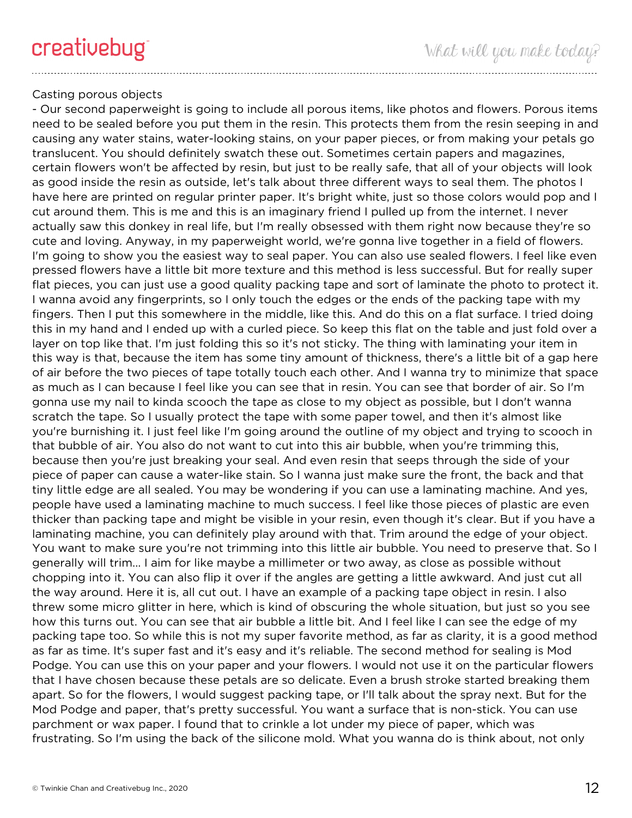## Casting porous objects

- Our second paperweight is going to include all porous items, like photos and flowers. Porous items need to be sealed before you put them in the resin. This protects them from the resin seeping in and causing any water stains, water-looking stains, on your paper pieces, or from making your petals go translucent. You should definitely swatch these out. Sometimes certain papers and magazines, certain flowers won't be affected by resin, but just to be really safe, that all of your objects will look as good inside the resin as outside, let's talk about three different ways to seal them. The photos I have here are printed on regular printer paper. It's bright white, just so those colors would pop and I cut around them. This is me and this is an imaginary friend I pulled up from the internet. I never actually saw this donkey in real life, but I'm really obsessed with them right now because they're so cute and loving. Anyway, in my paperweight world, we're gonna live together in a field of flowers. I'm going to show you the easiest way to seal paper. You can also use sealed flowers. I feel like even pressed flowers have a little bit more texture and this method is less successful. But for really super flat pieces, you can just use a good quality packing tape and sort of laminate the photo to protect it. I wanna avoid any fingerprints, so I only touch the edges or the ends of the packing tape with my fingers. Then I put this somewhere in the middle, like this. And do this on a flat surface. I tried doing this in my hand and I ended up with a curled piece. So keep this flat on the table and just fold over a layer on top like that. I'm just folding this so it's not sticky. The thing with laminating your item in this way is that, because the item has some tiny amount of thickness, there's a little bit of a gap here of air before the two pieces of tape totally touch each other. And I wanna try to minimize that space as much as I can because I feel like you can see that in resin. You can see that border of air. So I'm gonna use my nail to kinda scooch the tape as close to my object as possible, but I don't wanna scratch the tape. So I usually protect the tape with some paper towel, and then it's almost like you're burnishing it. I just feel like I'm going around the outline of my object and trying to scooch in that bubble of air. You also do not want to cut into this air bubble, when you're trimming this, because then you're just breaking your seal. And even resin that seeps through the side of your piece of paper can cause a water-like stain. So I wanna just make sure the front, the back and that tiny little edge are all sealed. You may be wondering if you can use a laminating machine. And yes, people have used a laminating machine to much success. I feel like those pieces of plastic are even thicker than packing tape and might be visible in your resin, even though it's clear. But if you have a laminating machine, you can definitely play around with that. Trim around the edge of your object. You want to make sure you're not trimming into this little air bubble. You need to preserve that. So I generally will trim... I aim for like maybe a millimeter or two away, as close as possible without chopping into it. You can also flip it over if the angles are getting a little awkward. And just cut all the way around. Here it is, all cut out. I have an example of a packing tape object in resin. I also threw some micro glitter in here, which is kind of obscuring the whole situation, but just so you see how this turns out. You can see that air bubble a little bit. And I feel like I can see the edge of my packing tape too. So while this is not my super favorite method, as far as clarity, it is a good method as far as time. It's super fast and it's easy and it's reliable. The second method for sealing is Mod Podge. You can use this on your paper and your flowers. I would not use it on the particular flowers that I have chosen because these petals are so delicate. Even a brush stroke started breaking them apart. So for the flowers, I would suggest packing tape, or I'll talk about the spray next. But for the Mod Podge and paper, that's pretty successful. You want a surface that is non-stick. You can use parchment or wax paper. I found that to crinkle a lot under my piece of paper, which was frustrating. So I'm using the back of the silicone mold. What you wanna do is think about, not only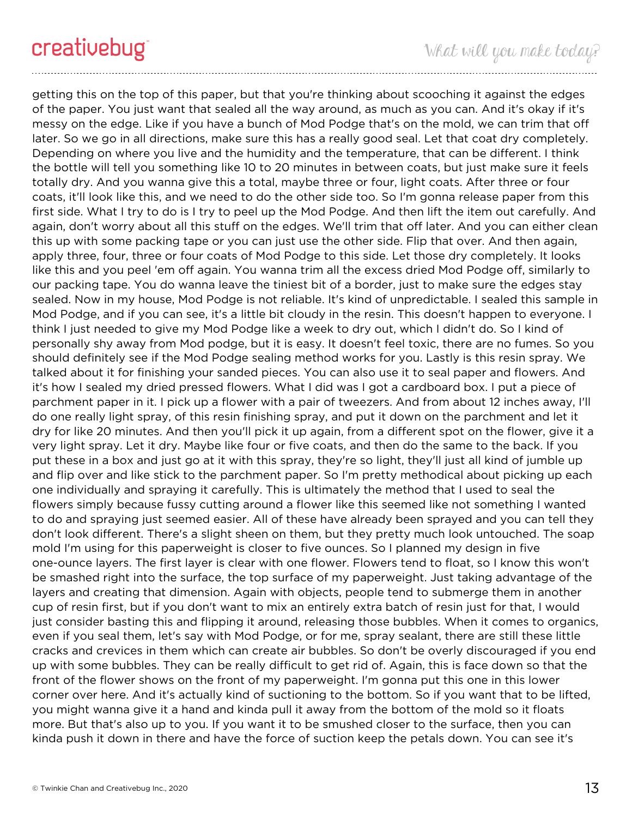getting this on the top of this paper, but that you're thinking about scooching it against the edges of the paper. You just want that sealed all the way around, as much as you can. And it's okay if it's messy on the edge. Like if you have a bunch of Mod Podge that's on the mold, we can trim that off later. So we go in all directions, make sure this has a really good seal. Let that coat dry completely. Depending on where you live and the humidity and the temperature, that can be different. I think the bottle will tell you something like 10 to 20 minutes in between coats, but just make sure it feels totally dry. And you wanna give this a total, maybe three or four, light coats. After three or four coats, it'll look like this, and we need to do the other side too. So I'm gonna release paper from this first side. What I try to do is I try to peel up the Mod Podge. And then lift the item out carefully. And again, don't worry about all this stuff on the edges. We'll trim that off later. And you can either clean this up with some packing tape or you can just use the other side. Flip that over. And then again, apply three, four, three or four coats of Mod Podge to this side. Let those dry completely. It looks like this and you peel 'em off again. You wanna trim all the excess dried Mod Podge off, similarly to our packing tape. You do wanna leave the tiniest bit of a border, just to make sure the edges stay sealed. Now in my house, Mod Podge is not reliable. It's kind of unpredictable. I sealed this sample in Mod Podge, and if you can see, it's a little bit cloudy in the resin. This doesn't happen to everyone. I think I just needed to give my Mod Podge like a week to dry out, which I didn't do. So I kind of personally shy away from Mod podge, but it is easy. It doesn't feel toxic, there are no fumes. So you should definitely see if the Mod Podge sealing method works for you. Lastly is this resin spray. We talked about it for finishing your sanded pieces. You can also use it to seal paper and flowers. And it's how I sealed my dried pressed flowers. What I did was I got a cardboard box. I put a piece of parchment paper in it. I pick up a flower with a pair of tweezers. And from about 12 inches away, I'll do one really light spray, of this resin finishing spray, and put it down on the parchment and let it dry for like 20 minutes. And then you'll pick it up again, from a different spot on the flower, give it a very light spray. Let it dry. Maybe like four or five coats, and then do the same to the back. If you put these in a box and just go at it with this spray, they're so light, they'll just all kind of jumble up and flip over and like stick to the parchment paper. So I'm pretty methodical about picking up each one individually and spraying it carefully. This is ultimately the method that I used to seal the flowers simply because fussy cutting around a flower like this seemed like not something I wanted to do and spraying just seemed easier. All of these have already been sprayed and you can tell they don't look different. There's a slight sheen on them, but they pretty much look untouched. The soap mold I'm using for this paperweight is closer to five ounces. So I planned my design in five one-ounce layers. The first layer is clear with one flower. Flowers tend to float, so I know this won't be smashed right into the surface, the top surface of my paperweight. Just taking advantage of the layers and creating that dimension. Again with objects, people tend to submerge them in another cup of resin first, but if you don't want to mix an entirely extra batch of resin just for that, I would just consider basting this and flipping it around, releasing those bubbles. When it comes to organics, even if you seal them, let's say with Mod Podge, or for me, spray sealant, there are still these little cracks and crevices in them which can create air bubbles. So don't be overly discouraged if you end up with some bubbles. They can be really difficult to get rid of. Again, this is face down so that the front of the flower shows on the front of my paperweight. I'm gonna put this one in this lower corner over here. And it's actually kind of suctioning to the bottom. So if you want that to be lifted, you might wanna give it a hand and kinda pull it away from the bottom of the mold so it floats more. But that's also up to you. If you want it to be smushed closer to the surface, then you can kinda push it down in there and have the force of suction keep the petals down. You can see it's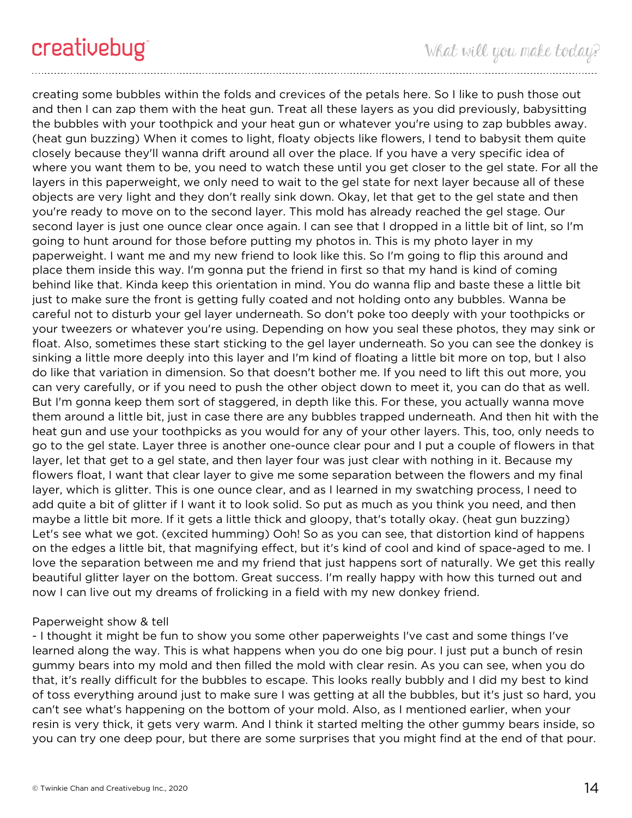creating some bubbles within the folds and crevices of the petals here. So I like to push those out and then I can zap them with the heat gun. Treat all these layers as you did previously, babysitting the bubbles with your toothpick and your heat gun or whatever you're using to zap bubbles away. (heat gun buzzing) When it comes to light, floaty objects like flowers, I tend to babysit them quite closely because they'll wanna drift around all over the place. If you have a very specific idea of where you want them to be, you need to watch these until you get closer to the gel state. For all the layers in this paperweight, we only need to wait to the gel state for next layer because all of these objects are very light and they don't really sink down. Okay, let that get to the gel state and then you're ready to move on to the second layer. This mold has already reached the gel stage. Our second layer is just one ounce clear once again. I can see that I dropped in a little bit of lint, so I'm going to hunt around for those before putting my photos in. This is my photo layer in my paperweight. I want me and my new friend to look like this. So I'm going to flip this around and place them inside this way. I'm gonna put the friend in first so that my hand is kind of coming behind like that. Kinda keep this orientation in mind. You do wanna flip and baste these a little bit just to make sure the front is getting fully coated and not holding onto any bubbles. Wanna be careful not to disturb your gel layer underneath. So don't poke too deeply with your toothpicks or your tweezers or whatever you're using. Depending on how you seal these photos, they may sink or float. Also, sometimes these start sticking to the gel layer underneath. So you can see the donkey is sinking a little more deeply into this layer and I'm kind of floating a little bit more on top, but I also do like that variation in dimension. So that doesn't bother me. If you need to lift this out more, you can very carefully, or if you need to push the other object down to meet it, you can do that as well. But I'm gonna keep them sort of staggered, in depth like this. For these, you actually wanna move them around a little bit, just in case there are any bubbles trapped underneath. And then hit with the heat gun and use your toothpicks as you would for any of your other layers. This, too, only needs to go to the gel state. Layer three is another one-ounce clear pour and I put a couple of flowers in that layer, let that get to a gel state, and then layer four was just clear with nothing in it. Because my flowers float, I want that clear layer to give me some separation between the flowers and my final layer, which is glitter. This is one ounce clear, and as I learned in my swatching process, I need to add quite a bit of glitter if I want it to look solid. So put as much as you think you need, and then maybe a little bit more. If it gets a little thick and gloopy, that's totally okay. (heat gun buzzing) Let's see what we got. (excited humming) Ooh! So as you can see, that distortion kind of happens on the edges a little bit, that magnifying effect, but it's kind of cool and kind of space-aged to me. I love the separation between me and my friend that just happens sort of naturally. We get this really beautiful glitter layer on the bottom. Great success. I'm really happy with how this turned out and now I can live out my dreams of frolicking in a field with my new donkey friend.

### Paperweight show & tell

- I thought it might be fun to show you some other paperweights I've cast and some things I've learned along the way. This is what happens when you do one big pour. I just put a bunch of resin gummy bears into my mold and then filled the mold with clear resin. As you can see, when you do that, it's really difficult for the bubbles to escape. This looks really bubbly and I did my best to kind of toss everything around just to make sure I was getting at all the bubbles, but it's just so hard, you can't see what's happening on the bottom of your mold. Also, as I mentioned earlier, when your resin is very thick, it gets very warm. And I think it started melting the other gummy bears inside, so you can try one deep pour, but there are some surprises that you might find at the end of that pour.